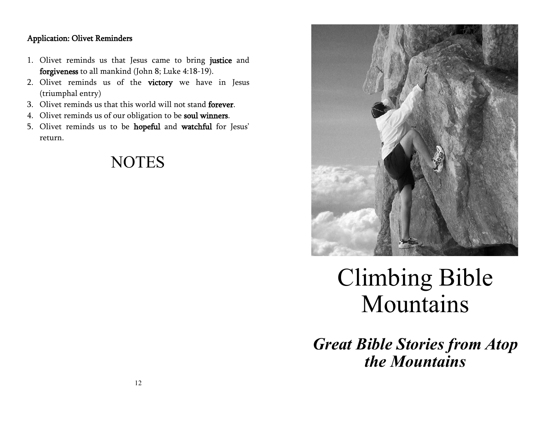## Application: Olivet Reminders

- 1. Olivet reminds us that Jesus came to bring justice and forgiveness to all mankind (John 8; Luke 4:18-19).
- 2. Olivet reminds us of the victory we have in Jesus (triumphal entry)
- 3. Olivet reminds us that this world will not stand forever.
- 4. Olivet reminds us of our obligation to be soul winners.
- 5. Olivet reminds us to be hopeful and watchful for Jesus' return.





# Climbing Bible Mountains

*Great Bible Stories from Atop the Mountains*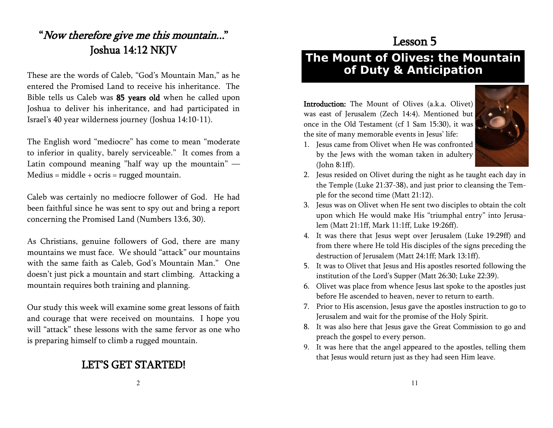# "Now therefore give me this mountain..." Joshua 14:12 NKJV

These are the words of Caleb, "God's Mountain Man," as he entered the Promised Land to receive his inheritance. The Bible tells us Caleb was 85 years old when he called upon Joshua to deliver his inheritance, and had participated in Israel's 40 year wilderness journey (Joshua 14:10-11).

The English word "mediocre" has come to mean "moderate to inferior in quality, barely serviceable." It comes from a Latin compound meaning "half way up the mountain" — Medius = middle + ocris = rugged mountain.

Caleb was certainly no mediocre follower of God. He had been faithful since he was sent to spy out and bring a report concerning the Promised Land (Numbers 13:6, 30).

As Christians, genuine followers of God, there are many mountains we must face. We should "attack" our mountains with the same faith as Caleb, God's Mountain Man." One doesn't just pick a mountain and start climbing. Attacking a mountain requires both training and planning.

Our study this week will examine some great lessons of faith and courage that were received on mountains. I hope you will "attack" these lessons with the same fervor as one who is preparing himself to climb a rugged mountain.

# LET'S GET STARTED!

# Lesson 5

# **The Mount of Olives: the Mountain of Duty & Anticipation**

Introduction: The Mount of Olives (a.k.a. Olivet) was east of Jerusalem (Zech 14:4). Mentioned but once in the Old Testament (cf 1 Sam 15:30), it was the site of many memorable events in Jesus' life:



- 1. Jesus came from Olivet when He was confronted by the Jews with the woman taken in adultery (John 8:1ff).
- 2. Jesus resided on Olivet during the night as he taught each day in the Temple (Luke 21:37-38), and just prior to cleansing the Temple for the second time (Matt 21:12).
- 3. Jesus was on Olivet when He sent two disciples to obtain the colt upon which He would make His "triumphal entry" into Jerusalem (Matt 21:1ff, Mark 11:1ff, Luke 19:26ff).
- 4. It was there that Jesus wept over Jerusalem (Luke 19:29ff) and from there where He told His disciples of the signs preceding the destruction of Jerusalem (Matt 24:1ff; Mark 13:1ff).
- 5. It was to Olivet that Jesus and His apostles resorted following the institution of the Lord's Supper (Matt 26:30; Luke 22:39).
- 6. Olivet was place from whence Jesus last spoke to the apostles just before He ascended to heaven, never to return to earth.
- 7. Prior to His ascension, Jesus gave the apostles instruction to go to Jerusalem and wait for the promise of the Holy Spirit.
- 8. It was also here that Jesus gave the Great Commission to go and preach the gospel to every person.
- 9. It was here that the angel appeared to the apostles, telling them that Jesus would return just as they had seen Him leave.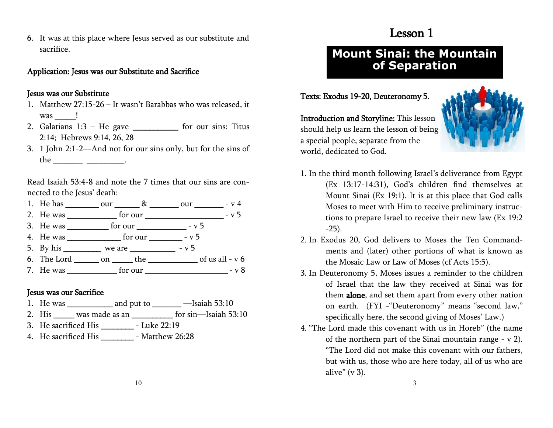6. It was at this place where Jesus served as our substitute and sacrifice.

#### Application: Jesus was our Substitute and Sacrifice

#### Jesus was our Substitute

- 1. Matthew 27:15-26 It wasn't Barabbas who was released, it was **!**
- 2. Galatians  $1:3 He$  gave \_\_\_\_\_\_\_\_\_\_\_\_ for our sins: Titus 2:14; Hebrews 9:14, 26, 28
- 3. 1 John 2:1-2—And not for our sins only, but for the sins of the \_\_\_\_\_\_\_\_\_\_\_\_\_\_\_\_\_\_\_\_\_\_\_\_\_\_\_\_\_\_\_\_.

Read Isaiah 53:4-8 and note the 7 times that our sins are connected to the Jesus' death:

- 1. He has  $our$   $\&$   $our$   $-v$  4
- 2. He was \_\_\_\_\_\_\_\_\_\_\_\_ for our \_\_\_\_\_\_\_\_\_\_\_\_\_\_\_\_\_\_\_ v 5
- 3. He was \_\_\_\_\_\_\_\_\_\_ for our \_\_\_\_\_\_\_\_\_\_\_\_\_ v 5
- 4. He was  $\frac{1}{2}$  for our  $\frac{1}{2}$  v 5
- 5. By his we are  $-$  v 5
- 6. The Lord \_\_\_\_\_\_\_\_ on \_\_\_\_\_\_\_ the \_\_\_\_\_\_\_\_\_\_\_\_\_ of us all v 6
- 7. He was \_\_\_\_\_\_\_\_\_\_\_\_ for our \_\_\_\_\_\_\_\_\_\_\_\_\_\_\_\_\_\_\_\_ v 8

## Jesus was our Sacrifice

- 1. He was \_\_\_\_\_\_\_\_\_\_\_ and put to \_\_\_\_\_\_\_ —Isaiah 53:10
- 2. His was made as an  $\frac{1}{2}$  for sin—Isaiah 53:10
- 3. He sacrificed His \_\_\_\_\_\_\_\_ Luke 22:19
- 4. He sacrificed His Matthew 26:28

## Lesson 1

## **Mount Sinai: the Mountain of Separation**

#### Texts: Exodus 19-20, Deuteronomy 5.



Introduction and Storyline: This lesson should help us learn the lesson of being a special people, separate from the world, dedicated to God.

- 1. In the third month following Israel's deliverance from Egypt (Ex 13:17-14:31), God's children find themselves at Mount Sinai (Ex 19:1). It is at this place that God calls Moses to meet with Him to receive preliminary instructions to prepare Israel to receive their new law (Ex 19:2 -25).
- 2. In Exodus 20, God delivers to Moses the Ten Commandments and (later) other portions of what is known as the Mosaic Law or Law of Moses (cf Acts 15:5).
- 3. In Deuteronomy 5, Moses issues a reminder to the children of Israel that the law they received at Sinai was for them alone, and set them apart from every other nation on earth. (FYI -"Deuteronomy" means "second law," specifically here, the second giving of Moses' Law.)
- 4. "The Lord made this covenant with us in Horeb" (the name of the northern part of the Sinai mountain range - v 2). "The Lord did not make this covenant with our fathers, but with us, those who are here today, all of us who are alive"  $(v 3)$ .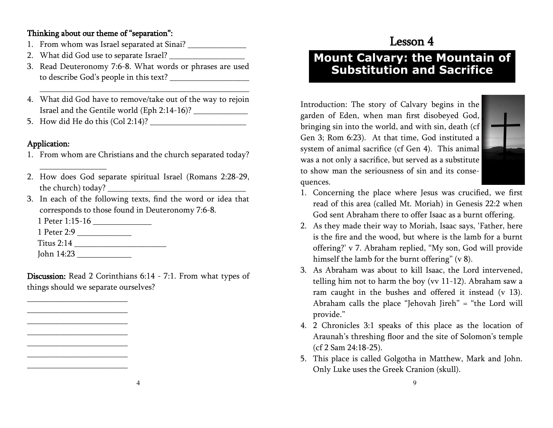## Thinking about our theme of "separation":

- 1. From whom was Israel separated at Sinai?
- 2. What did God use to separate Israel?
- 3. Read Deuteronomy 7:6-8. What words or phrases are used to describe God's people in this text? \_\_\_\_\_\_\_\_\_\_\_\_\_\_\_\_\_\_\_

\_\_\_\_\_\_\_\_\_\_\_\_\_\_\_\_\_\_\_\_\_\_\_\_\_\_\_\_\_\_\_\_\_\_\_\_\_\_\_\_\_\_\_\_\_\_\_\_\_\_

- 4. What did God have to remove/take out of the way to rejoin Israel and the Gentile world (Eph 2:14-16)? \_\_\_\_\_\_\_\_\_\_\_\_\_
- 5. How did He do this (Col 2:14)?

## Application:

- 1. From whom are Christians and the church separated today?
- 2. How does God separate spiritual Israel (Romans 2:28-29, the church) today?
- 3. In each of the following texts, find the word or idea that corresponds to those found in Deuteronomy 7:6-8.

1 Peter 1:15-16 \_\_\_\_\_\_\_\_\_\_\_\_\_\_

1 Peter 2:9 \_\_\_\_\_\_\_\_\_\_\_\_\_

\_\_\_\_\_\_\_\_\_\_\_\_\_\_\_\_

Titus 2:14 \_\_\_\_\_\_\_\_\_\_\_\_\_\_\_\_\_\_\_\_\_\_

John 14:23 \_\_\_\_\_\_\_\_\_\_\_\_\_

\_\_\_\_\_\_\_\_\_\_\_\_\_\_\_\_\_\_\_\_\_\_\_\_ \_\_\_\_\_\_\_\_\_\_\_\_\_\_\_\_\_\_\_\_\_\_\_\_ \_\_\_\_\_\_\_\_\_\_\_\_\_\_\_\_\_\_\_\_\_\_\_\_ \_\_\_\_\_\_\_\_\_\_\_\_\_\_\_\_\_\_\_\_\_\_\_\_ \_\_\_\_\_\_\_\_\_\_\_\_\_\_\_\_\_\_\_\_\_\_\_\_ \_\_\_\_\_\_\_\_\_\_\_\_\_\_\_\_\_\_\_\_\_\_\_\_ \_\_\_\_\_\_\_\_\_\_\_\_\_\_\_\_\_\_\_\_\_\_\_\_

Discussion: Read 2 Corinthians 6:14 - 7:1. From what types of things should we separate ourselves?

# Lesson 4

## **Mount Calvary: the Mountain of Substitution and Sacrifice**

Introduction: The story of Calvary begins in the garden of Eden, when man first disobeyed God, bringing sin into the world, and with sin, death (cf Gen 3; Rom 6:23). At that time, God instituted a system of animal sacrifice (cf Gen 4). This animal was a not only a sacrifice, but served as a substitute to show man the seriousness of sin and its consequences.



- 1. Concerning the place where Jesus was crucified, we first read of this area (called Mt. Moriah) in Genesis 22:2 when God sent Abraham there to offer Isaac as a burnt offering.
- 2. As they made their way to Moriah, Isaac says, 'Father, here is the fire and the wood, but where is the lamb for a burnt offering?' v 7. Abraham replied, "My son, God will provide himself the lamb for the burnt offering" (v 8).
- 3. As Abraham was about to kill Isaac, the Lord intervened, telling him not to harm the boy (vv 11-12). Abraham saw a ram caught in the bushes and offered it instead (v 13). Abraham calls the place "Jehovah Jireh" = "the Lord will provide."
- 4. 2 Chronicles 3:1 speaks of this place as the location of Araunah's threshing floor and the site of Solomon's temple (cf 2 Sam 24:18-25).
- 5. This place is called Golgotha in Matthew, Mark and John. Only Luke uses the Greek Cranion (skull).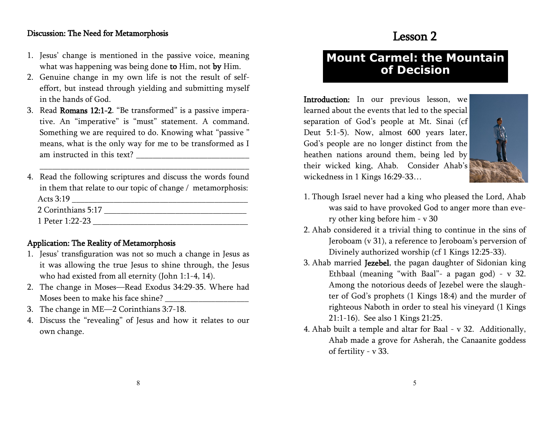#### Discussion: The Need for Metamorphosis

- 1. Jesus' change is mentioned in the passive voice, meaning what was happening was being done to Him, not by Him.
- 2. Genuine change in my own life is not the result of selfeffort, but instead through yielding and submitting myself in the hands of God.
- 3. Read Romans 12:1-2. "Be transformed" is a passive imperative. An "imperative" is "must" statement. A command. Something we are required to do. Knowing what "passive " means, what is the only way for me to be transformed as I am instructed in this text? \_\_\_\_\_\_\_\_\_\_\_\_\_\_\_\_\_\_\_\_\_\_\_\_\_\_\_
- 4. Read the following scriptures and discuss the words found in them that relate to our topic of change / metamorphosis: Acts 3:19 \_\_\_\_\_\_\_\_\_\_\_\_\_\_\_\_\_\_\_\_\_\_\_\_\_\_\_\_\_\_\_\_\_\_\_\_\_\_\_\_\_\_ 2 Corinthians 5:17 \_\_\_\_\_\_\_\_\_\_\_\_\_\_\_\_\_\_\_\_\_\_\_\_\_\_\_\_\_\_\_\_\_\_

\_\_\_\_\_\_\_\_\_\_\_\_\_\_\_\_\_\_\_\_\_\_\_\_\_\_\_\_\_\_\_\_\_\_\_\_\_\_\_\_\_\_\_\_\_\_\_\_\_\_

1 Peter 1:22-23 \_\_\_\_\_\_\_\_\_\_\_\_\_\_\_\_\_\_\_\_\_\_\_\_\_\_\_\_\_\_\_\_\_\_\_\_\_

## Application: The Reality of Metamorphosis

- 1. Jesus' transfiguration was not so much a change in Jesus as it was allowing the true Jesus to shine through, the Jesus who had existed from all eternity (John 1:1-4, 14).
- 2. The change in Moses—Read Exodus 34:29-35. Where had Moses been to make his face shine?
- 3. The change in ME—2 Corinthians 3:7-18.
- 4. Discuss the "revealing" of Jesus and how it relates to our own change.

## Lesson 2

## **Mount Carmel: the Mountain of Decision**

Introduction: In our previous lesson, we learned about the events that led to the special separation of God's people at Mt. Sinai (cf Deut 5:1-5). Now, almost 600 years later, God's people are no longer distinct from the heathen nations around them, being led by their wicked king, Ahab. Consider Ahab's wickedness in 1 Kings 16:29-33…



- 1. Though Israel never had a king who pleased the Lord, Ahab was said to have provoked God to anger more than every other king before him - v 30
- 2. Ahab considered it a trivial thing to continue in the sins of Jeroboam (v 31), a reference to Jeroboam's perversion of Divinely authorized worship (cf 1 Kings 12:25-33).
- 3. Ahab married Jezebel, the pagan daughter of Sidonian king Ethbaal (meaning "with Baal"- a pagan god) - v 32. Among the notorious deeds of Jezebel were the slaughter of God's prophets (1 Kings 18:4) and the murder of righteous Naboth in order to steal his vineyard (1 Kings 21:1-16). See also 1 Kings 21:25.
- 4. Ahab built a temple and altar for Baal v 32. Additionally, Ahab made a grove for Asherah, the Canaanite goddess of fertility - v 33.